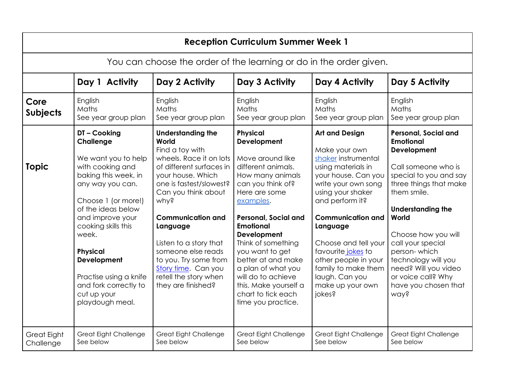| <b>Reception Curriculum Summer Week 1</b>                          |                                                                                                                                                                                                                                                                                                                                        |                                                                                                                                                                                                                                                                                                                                                                                   |                                                                                                                                                                                                                                                                                                                                                                                                   |                                                                                                                                                                                                                                                                                                                                                                |                                                                                                                                                                                                                                                                                                                                                                |  |  |  |  |
|--------------------------------------------------------------------|----------------------------------------------------------------------------------------------------------------------------------------------------------------------------------------------------------------------------------------------------------------------------------------------------------------------------------------|-----------------------------------------------------------------------------------------------------------------------------------------------------------------------------------------------------------------------------------------------------------------------------------------------------------------------------------------------------------------------------------|---------------------------------------------------------------------------------------------------------------------------------------------------------------------------------------------------------------------------------------------------------------------------------------------------------------------------------------------------------------------------------------------------|----------------------------------------------------------------------------------------------------------------------------------------------------------------------------------------------------------------------------------------------------------------------------------------------------------------------------------------------------------------|----------------------------------------------------------------------------------------------------------------------------------------------------------------------------------------------------------------------------------------------------------------------------------------------------------------------------------------------------------------|--|--|--|--|
| You can choose the order of the learning or do in the order given. |                                                                                                                                                                                                                                                                                                                                        |                                                                                                                                                                                                                                                                                                                                                                                   |                                                                                                                                                                                                                                                                                                                                                                                                   |                                                                                                                                                                                                                                                                                                                                                                |                                                                                                                                                                                                                                                                                                                                                                |  |  |  |  |
|                                                                    | Day 1 Activity                                                                                                                                                                                                                                                                                                                         | Day 2 Activity                                                                                                                                                                                                                                                                                                                                                                    | Day 3 Activity                                                                                                                                                                                                                                                                                                                                                                                    | Day 4 Activity                                                                                                                                                                                                                                                                                                                                                 | Day 5 Activity                                                                                                                                                                                                                                                                                                                                                 |  |  |  |  |
| Core<br><b>Subjects</b>                                            | English<br>Maths<br>See year group plan                                                                                                                                                                                                                                                                                                | English<br>Maths<br>See year group plan                                                                                                                                                                                                                                                                                                                                           | English<br>Maths<br>See year group plan                                                                                                                                                                                                                                                                                                                                                           | English<br>Maths<br>See year group plan                                                                                                                                                                                                                                                                                                                        | English<br>Maths<br>See year group plan                                                                                                                                                                                                                                                                                                                        |  |  |  |  |
| <b>Topic</b>                                                       | DT-Cooking<br>Challenge<br>We want you to help<br>with cooking and<br>baking this week, in<br>any way you can.<br>Choose 1 (or more!)<br>of the ideas below<br>and improve your<br>cooking skills this<br>week.<br><b>Physical</b><br>Development<br>Practise using a knife<br>and fork correctly to<br>cut up your<br>playdough meal. | <b>Understanding the</b><br>World<br>Find a toy with<br>wheels. Race it on lots<br>of different surfaces in<br>your house. Which<br>one is fastest/slowest?<br>Can you think about<br>why?<br><b>Communication and</b><br>Language<br>Listen to a story that<br>someone else reads<br>to you. Try some from<br>Story time. Can you<br>retell the story when<br>they are finished? | Physical<br>Development<br>Move around like<br>different animals.<br>How many animals<br>can you think of?<br>Here are some<br>examples.<br><b>Personal, Social and</b><br><b>Emotional</b><br><b>Development</b><br>Think of something<br>you want to get<br>better at and make<br>a plan of what you<br>will do to achieve<br>this. Make yourself a<br>chart to tick each<br>time you practice. | <b>Art and Design</b><br>Make your own<br>shaker instrumental<br>using materials in<br>your house. Can you<br>write your own song<br>using your shaker<br>and perform it?<br><b>Communication and</b><br>Language<br>Choose and tell your<br>favourite jokes to<br>other people in your<br>family to make them<br>laugh. Can you<br>make up your own<br>jokes? | <b>Personal, Social and</b><br><b>Emotional</b><br>Development<br>Call someone who is<br>special to you and say<br>three things that make<br>them smile.<br><b>Understanding the</b><br>World<br>Choose how you will<br>call your special<br>person-which<br>technology will you<br>need? Will you video<br>or voice call? Why<br>have you chosen that<br>way? |  |  |  |  |
| <b>Great Eight</b><br>Challenge                                    | <b>Great Eight Challenge</b><br>See below                                                                                                                                                                                                                                                                                              | <b>Great Eight Challenge</b><br>See below                                                                                                                                                                                                                                                                                                                                         | Great Eight Challenge<br>See below                                                                                                                                                                                                                                                                                                                                                                | <b>Great Eight Challenge</b><br>See below                                                                                                                                                                                                                                                                                                                      | <b>Great Eight Challenge</b><br>See below                                                                                                                                                                                                                                                                                                                      |  |  |  |  |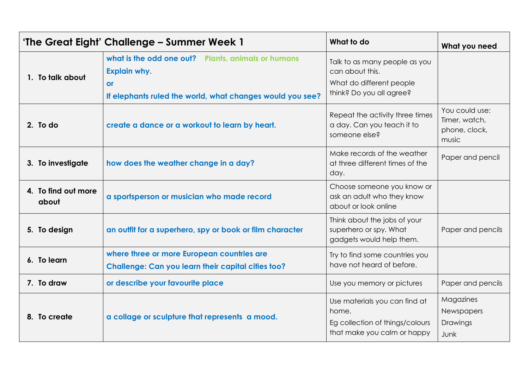| 'The Great Eight' Challenge – Summer Week 1 |                                                                                                                                              | What to do                                                                                               | What you need                                             |
|---------------------------------------------|----------------------------------------------------------------------------------------------------------------------------------------------|----------------------------------------------------------------------------------------------------------|-----------------------------------------------------------|
| 1. To talk about                            | what is the odd one out? Plants, animals or humans<br><b>Explain why.</b><br>or<br>If elephants ruled the world, what changes would you see? | Talk to as many people as you<br>can about this.<br>What do different people<br>think? Do you all agree? |                                                           |
| 2. To do                                    | create a dance or a workout to learn by heart.                                                                                               | Repeat the activity three times<br>a day. Can you teach it to<br>someone else?                           | You could use:<br>Timer, watch,<br>phone, clock,<br>music |
| 3. To investigate                           | how does the weather change in a day?                                                                                                        | Make records of the weather<br>at three different times of the<br>day.                                   | Paper and pencil                                          |
| 4. To find out more<br>about                | a sportsperson or musician who made record                                                                                                   | Choose someone you know or<br>ask an adult who they know<br>about or look online                         |                                                           |
| 5. To design                                | an outfit for a superhero, spy or book or film character                                                                                     | Think about the jobs of your<br>superhero or spy. What<br>gadgets would help them.                       | Paper and pencils                                         |
| 6. To learn                                 | where three or more European countries are<br><b>Challenge: Can you learn their capital cities too?</b>                                      | Try to find some countries you<br>have not heard of before.                                              |                                                           |
| 7. To draw                                  | or describe your favourite place                                                                                                             | Use you memory or pictures                                                                               | Paper and pencils                                         |
| 8. To create                                | a collage or sculpture that represents a mood.                                                                                               | Use materials you can find at<br>home.<br>Eg collection of things/colours<br>that make you calm or happy | Magazines<br>Newspapers<br>Drawings<br>Junk               |